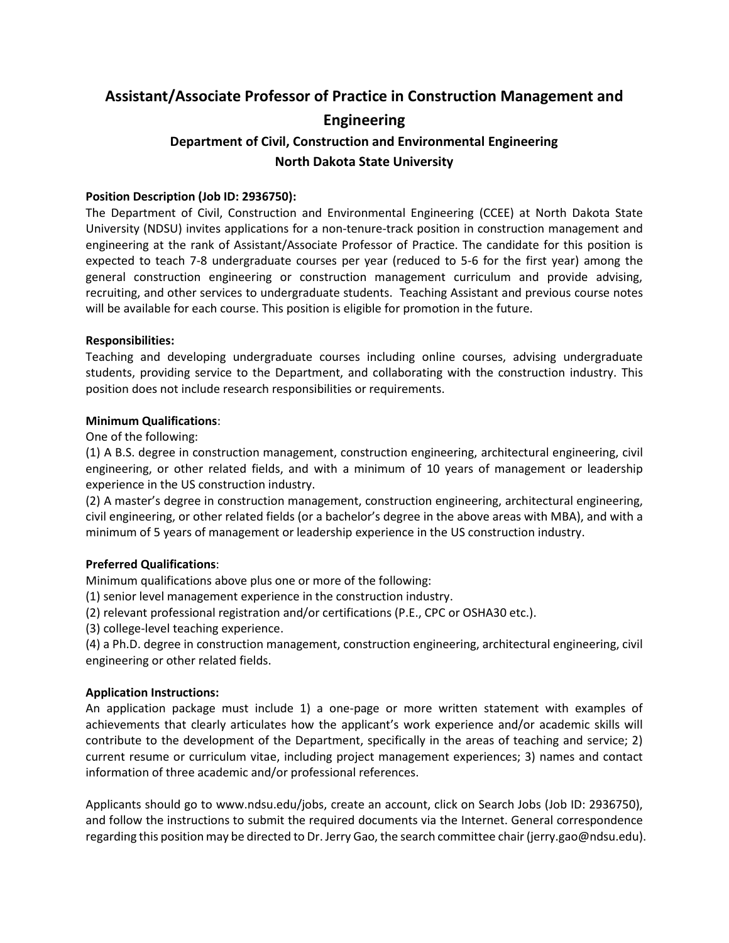# **Assistant/Associate Professor of Practice in Construction Management and Engineering**

## **Department of Civil, Construction and Environmental Engineering North Dakota State University**

### **Position Description (Job ID: 2936750):**

The Department of Civil, Construction and Environmental Engineering (CCEE) at North Dakota State University (NDSU) invites applications for a non-tenure-track position in construction management and engineering at the rank of Assistant/Associate Professor of Practice. The candidate for this position is expected to teach 7-8 undergraduate courses per year (reduced to 5-6 for the first year) among the general construction engineering or construction management curriculum and provide advising, recruiting, and other services to undergraduate students. Teaching Assistant and previous course notes will be available for each course. This position is eligible for promotion in the future.

#### **Responsibilities:**

Teaching and developing undergraduate courses including online courses, advising undergraduate students, providing service to the Department, and collaborating with the construction industry. This position does not include research responsibilities or requirements.

#### **Minimum Qualifications**:

One of the following:

(1) A B.S. degree in construction management, construction engineering, architectural engineering, civil engineering, or other related fields, and with a minimum of 10 years of management or leadership experience in the US construction industry.

(2) A master's degree in construction management, construction engineering, architectural engineering, civil engineering, or other related fields (or a bachelor's degree in the above areas with MBA), and with a minimum of 5 years of management or leadership experience in the US construction industry.

#### **Preferred Qualifications**:

Minimum qualifications above plus one or more of the following:

(1) senior level management experience in the construction industry.

(2) relevant professional registration and/or certifications (P.E., CPC or OSHA30 etc.).

(3) college-level teaching experience.

(4) a Ph.D. degree in construction management, construction engineering, architectural engineering, civil engineering or other related fields.

#### **Application Instructions:**

An application package must include 1) a one-page or more written statement with examples of achievements that clearly articulates how the applicant's work experience and/or academic skills will contribute to the development of the Department, specifically in the areas of teaching and service; 2) current resume or curriculum vitae, including project management experiences; 3) names and contact information of three academic and/or professional references.

Applicants should go to www.ndsu.edu/jobs, create an account, click on Search Jobs (Job ID: 2936750), and follow the instructions to submit the required documents via the Internet. General correspondence regarding this position may be directed to Dr. Jerry Gao, the search committee chair (jerry.gao@ndsu.edu).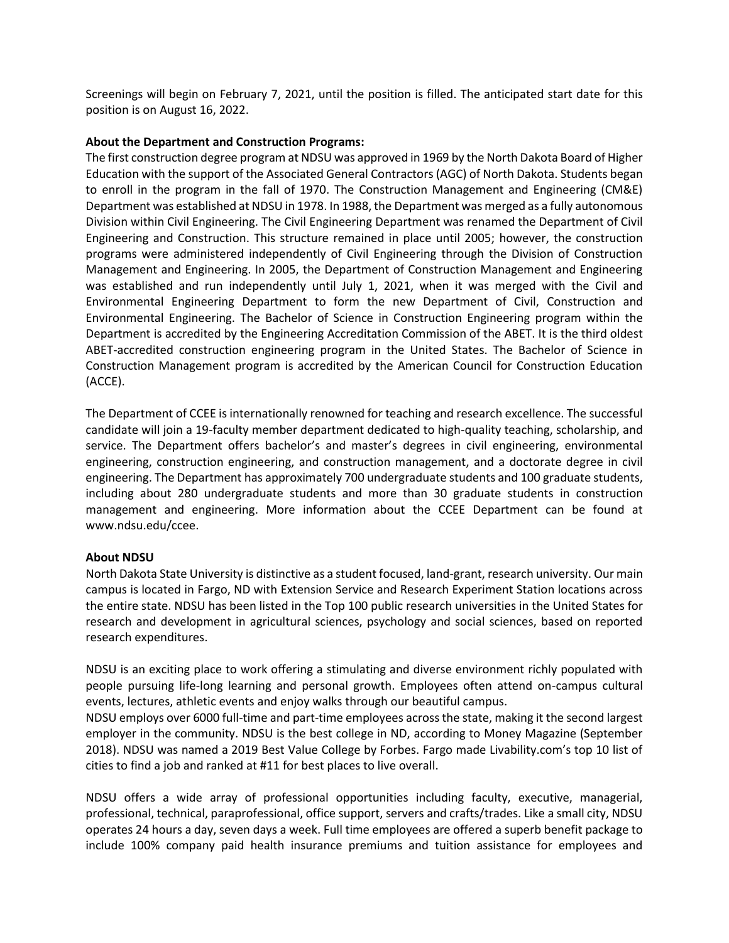Screenings will begin on February 7, 2021, until the position is filled. The anticipated start date for this position is on August 16, 2022.

#### **About the Department and Construction Programs:**

The first construction degree program at NDSU was approved in 1969 by the North Dakota Board of Higher Education with the support of the Associated General Contractors (AGC) of North Dakota. Students began to enroll in the program in the fall of 1970. The Construction Management and Engineering (CM&E) Department was established at NDSU in 1978. In 1988, the Department was merged as a fully autonomous Division within Civil Engineering. The Civil Engineering Department was renamed the Department of Civil Engineering and Construction. This structure remained in place until 2005; however, the construction programs were administered independently of Civil Engineering through the Division of Construction Management and Engineering. In 2005, the Department of Construction Management and Engineering was established and run independently until July 1, 2021, when it was merged with the Civil and Environmental Engineering Department to form the new Department of Civil, Construction and Environmental Engineering. The Bachelor of Science in Construction Engineering program within the Department is accredited by the Engineering Accreditation Commission of the ABET. It is the third oldest ABET-accredited construction engineering program in the United States. The Bachelor of Science in Construction Management program is accredited by the American Council for Construction Education (ACCE).

The Department of CCEE is internationally renowned for teaching and research excellence. The successful candidate will join a 19-faculty member department dedicated to high-quality teaching, scholarship, and service. The Department offers bachelor's and master's degrees in civil engineering, environmental engineering, construction engineering, and construction management, and a doctorate degree in civil engineering. The Department has approximately 700 undergraduate students and 100 graduate students, including about 280 undergraduate students and more than 30 graduate students in construction management and engineering. More information about the CCEE Department can be found at www.ndsu.edu/ccee.

#### **About NDSU**

North Dakota State University is distinctive as a student focused, land-grant, research university. Our main campus is located in Fargo, ND with Extension Service and Research Experiment Station locations across the entire state. NDSU has been listed in the Top 100 public research universities in the United States for research and development in agricultural sciences, psychology and social sciences, based on reported research expenditures.

NDSU is an exciting place to work offering a stimulating and diverse environment richly populated with people pursuing life-long learning and personal growth. Employees often attend on-campus cultural events, lectures, athletic events and enjoy walks through our beautiful campus.

NDSU employs over 6000 full-time and part-time employees across the state, making it the second largest employer in the community. NDSU is the best college in ND, according to Money Magazine (September 2018). NDSU was named a 2019 Best Value College by Forbes. Fargo made Livability.com's top 10 list of cities to find a job and ranked at #11 for best places to live overall.

NDSU offers a wide array of professional opportunities including faculty, executive, managerial, professional, technical, paraprofessional, office support, servers and crafts/trades. Like a small city, NDSU operates 24 hours a day, seven days a week. Full time employees are offered a superb benefit package to include 100% company paid health insurance premiums and tuition assistance for employees and